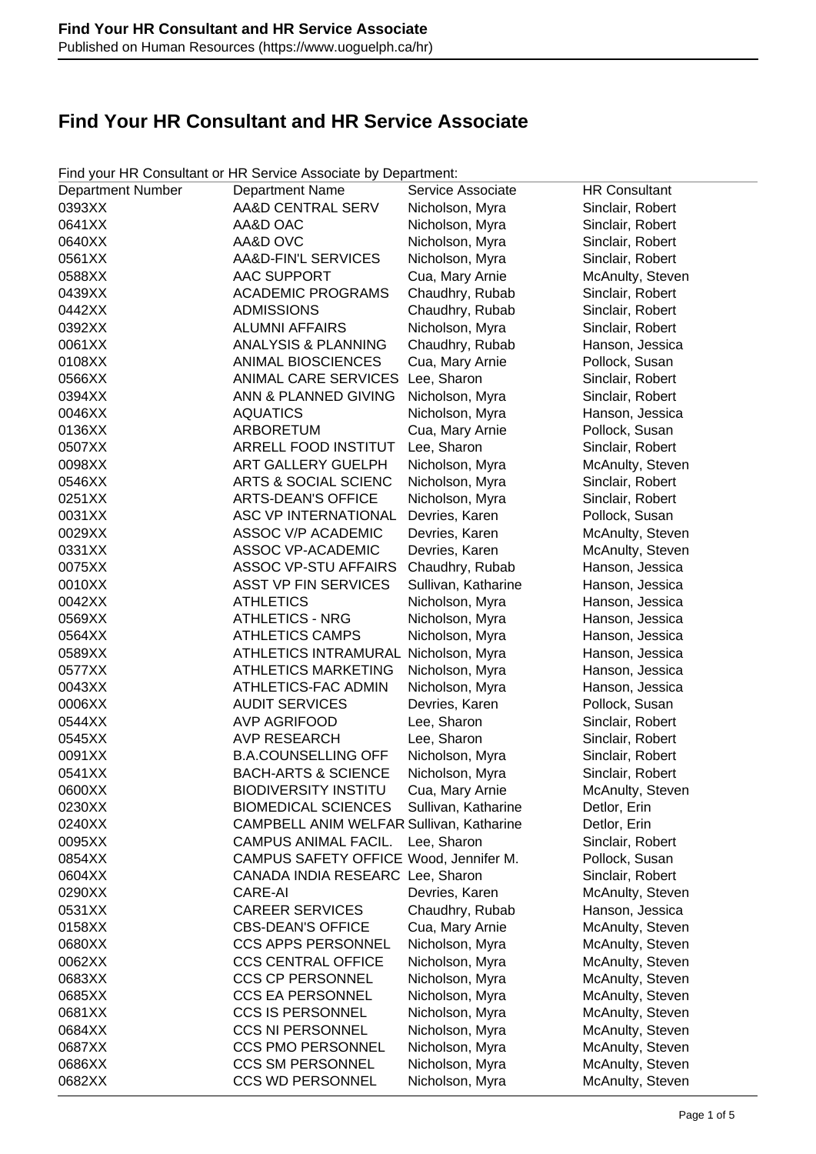| <b>Department Number</b> | <b>Department Name</b>                   | Service Associate   | <b>HR Consultant</b> |
|--------------------------|------------------------------------------|---------------------|----------------------|
| 0393XX                   | AA&D CENTRAL SERV                        | Nicholson, Myra     | Sinclair, Robert     |
| 0641XX                   | AA&D OAC                                 | Nicholson, Myra     | Sinclair, Robert     |
| 0640XX                   | AA&D OVC                                 | Nicholson, Myra     | Sinclair, Robert     |
| 0561XX                   | AA&D-FIN'L SERVICES                      | Nicholson, Myra     | Sinclair, Robert     |
| 0588XX                   | <b>AAC SUPPORT</b>                       | Cua, Mary Arnie     | McAnulty, Steven     |
| 0439XX                   | <b>ACADEMIC PROGRAMS</b>                 | Chaudhry, Rubab     | Sinclair, Robert     |
| 0442XX                   | <b>ADMISSIONS</b>                        | Chaudhry, Rubab     | Sinclair, Robert     |
| 0392XX                   | <b>ALUMNI AFFAIRS</b>                    | Nicholson, Myra     | Sinclair, Robert     |
| 0061XX                   | <b>ANALYSIS &amp; PLANNING</b>           | Chaudhry, Rubab     | Hanson, Jessica      |
| 0108XX                   | <b>ANIMAL BIOSCIENCES</b>                | Cua, Mary Arnie     | Pollock, Susan       |
| 0566XX                   | ANIMAL CARE SERVICES                     | Lee, Sharon         | Sinclair, Robert     |
| 0394XX                   | ANN & PLANNED GIVING                     | Nicholson, Myra     | Sinclair, Robert     |
| 0046XX                   | <b>AQUATICS</b>                          | Nicholson, Myra     | Hanson, Jessica      |
| 0136XX                   | <b>ARBORETUM</b>                         | Cua, Mary Arnie     | Pollock, Susan       |
| 0507XX                   | <b>ARRELL FOOD INSTITUT</b>              | Lee, Sharon         | Sinclair, Robert     |
| 0098XX                   | <b>ART GALLERY GUELPH</b>                | Nicholson, Myra     | McAnulty, Steven     |
| 0546XX                   | ARTS & SOCIAL SCIENC                     | Nicholson, Myra     | Sinclair, Robert     |
| 0251XX                   | <b>ARTS-DEAN'S OFFICE</b>                | Nicholson, Myra     | Sinclair, Robert     |
| 0031XX                   | ASC VP INTERNATIONAL                     | Devries, Karen      | Pollock, Susan       |
| 0029XX                   | <b>ASSOC V/P ACADEMIC</b>                | Devries, Karen      | McAnulty, Steven     |
| 0331XX                   | <b>ASSOC VP-ACADEMIC</b>                 | Devries, Karen      | McAnulty, Steven     |
| 0075XX                   | <b>ASSOC VP-STU AFFAIRS</b>              | Chaudhry, Rubab     | Hanson, Jessica      |
| 0010XX                   | <b>ASST VP FIN SERVICES</b>              | Sullivan, Katharine | Hanson, Jessica      |
| 0042XX                   | <b>ATHLETICS</b>                         | Nicholson, Myra     | Hanson, Jessica      |
| 0569XX                   | <b>ATHLETICS - NRG</b>                   | Nicholson, Myra     | Hanson, Jessica      |
| 0564XX                   | <b>ATHLETICS CAMPS</b>                   | Nicholson, Myra     | Hanson, Jessica      |
| 0589XX                   | <b>ATHLETICS INTRAMURAL</b>              | Nicholson, Myra     | Hanson, Jessica      |
| 0577XX                   | <b>ATHLETICS MARKETING</b>               | Nicholson, Myra     | Hanson, Jessica      |
| 0043XX                   | ATHLETICS-FAC ADMIN                      | Nicholson, Myra     | Hanson, Jessica      |
| 0006XX                   | <b>AUDIT SERVICES</b>                    | Devries, Karen      | Pollock, Susan       |
| 0544XX                   | <b>AVP AGRIFOOD</b>                      | Lee, Sharon         | Sinclair, Robert     |
| 0545XX                   | <b>AVP RESEARCH</b>                      | Lee, Sharon         | Sinclair, Robert     |
| 0091XX                   | <b>B.A.COUNSELLING OFF</b>               | Nicholson, Myra     | Sinclair, Robert     |
| 0541XX                   | <b>BACH-ARTS &amp; SCIENCE</b>           | Nicholson, Myra     | Sinclair, Robert     |
| 0600XX                   | <b>BIODIVERSITY INSTITU</b>              | Cua, Mary Arnie     | McAnulty, Steven     |
| 0230XX                   | <b>BIOMEDICAL SCIENCES</b>               | Sullivan, Katharine | Detlor, Erin         |
| 0240XX                   | CAMPBELL ANIM WELFAR Sullivan, Katharine |                     | Detlor, Erin         |
| 0095XX                   | CAMPUS ANIMAL FACIL.                     | Lee, Sharon         | Sinclair, Robert     |
| 0854XX                   | CAMPUS SAFETY OFFICE Wood, Jennifer M.   |                     | Pollock, Susan       |
| 0604XX                   | CANADA INDIA RESEARC Lee, Sharon         |                     | Sinclair, Robert     |
| 0290XX                   | CARE-AI                                  | Devries, Karen      | McAnulty, Steven     |
| 0531XX                   | <b>CAREER SERVICES</b>                   | Chaudhry, Rubab     | Hanson, Jessica      |
| 0158XX                   | <b>CBS-DEAN'S OFFICE</b>                 | Cua, Mary Arnie     | McAnulty, Steven     |
| 0680XX                   | <b>CCS APPS PERSONNEL</b>                | Nicholson, Myra     | McAnulty, Steven     |
| 0062XX                   | <b>CCS CENTRAL OFFICE</b>                | Nicholson, Myra     | McAnulty, Steven     |
| 0683XX                   | <b>CCS CP PERSONNEL</b>                  | Nicholson, Myra     | McAnulty, Steven     |
| 0685XX                   | <b>CCS EA PERSONNEL</b>                  | Nicholson, Myra     | McAnulty, Steven     |
| 0681XX                   | <b>CCS IS PERSONNEL</b>                  | Nicholson, Myra     | McAnulty, Steven     |
| 0684XX                   | <b>CCS NI PERSONNEL</b>                  | Nicholson, Myra     | McAnulty, Steven     |
| 0687XX                   | <b>CCS PMO PERSONNEL</b>                 | Nicholson, Myra     | McAnulty, Steven     |
| 0686XX                   | <b>CCS SM PERSONNEL</b>                  | Nicholson, Myra     | McAnulty, Steven     |
| 0682XX                   | <b>CCS WD PERSONNEL</b>                  | Nicholson, Myra     | McAnulty, Steven     |

Find your HR Consultant or HR Service Associate by Department: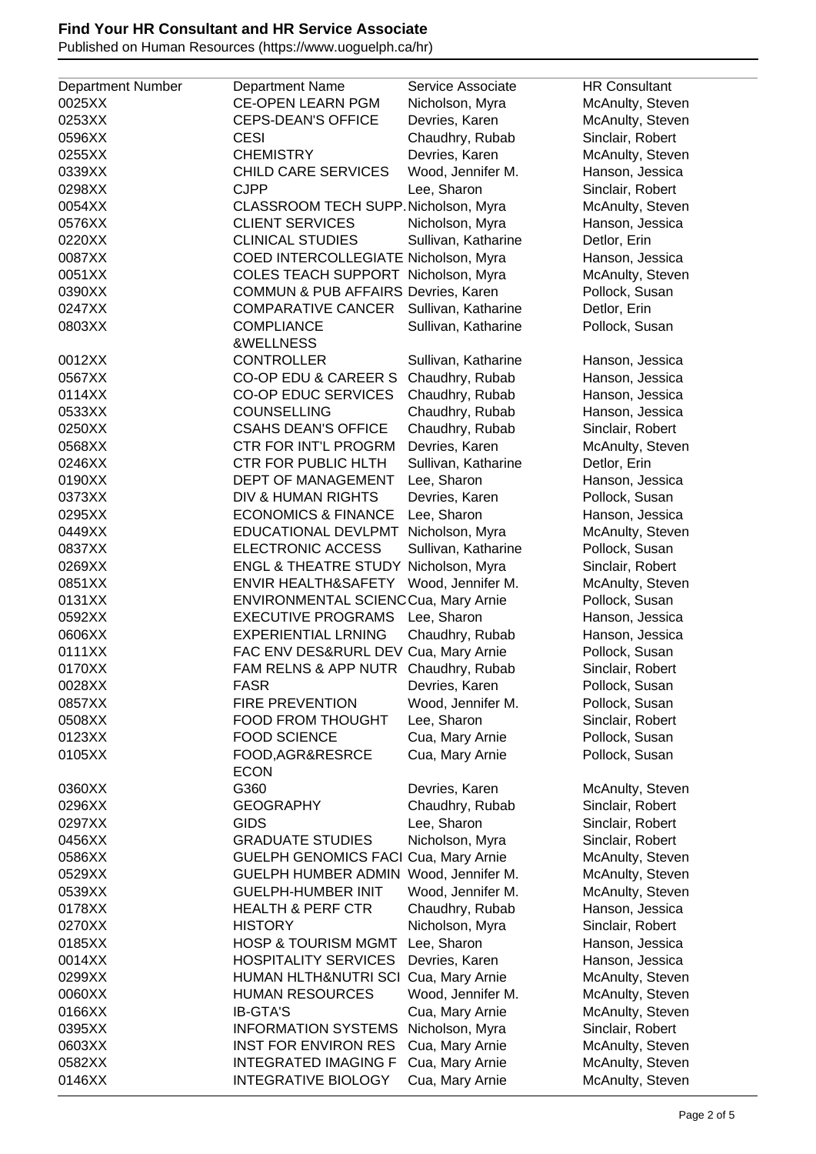Published on Human Resources (https://www.uoguelph.ca/hr)

| <b>Department Number</b> | <b>Department Name</b>               | Service Associate   | <b>HR Consultant</b> |
|--------------------------|--------------------------------------|---------------------|----------------------|
| 0025XX                   | <b>CE-OPEN LEARN PGM</b>             |                     |                      |
|                          |                                      | Nicholson, Myra     | McAnulty, Steven     |
| 0253XX                   | <b>CEPS-DEAN'S OFFICE</b>            | Devries, Karen      | McAnulty, Steven     |
| 0596XX                   | <b>CESI</b>                          | Chaudhry, Rubab     | Sinclair, Robert     |
| 0255XX                   | <b>CHEMISTRY</b>                     | Devries, Karen      | McAnulty, Steven     |
| 0339XX                   | <b>CHILD CARE SERVICES</b>           | Wood, Jennifer M.   | Hanson, Jessica      |
| 0298XX                   | <b>CJPP</b>                          | Lee, Sharon         | Sinclair, Robert     |
| 0054XX                   | CLASSROOM TECH SUPP. Nicholson, Myra |                     | McAnulty, Steven     |
| 0576XX                   | <b>CLIENT SERVICES</b>               | Nicholson, Myra     | Hanson, Jessica      |
| 0220XX                   | <b>CLINICAL STUDIES</b>              | Sullivan, Katharine | Detlor, Erin         |
| 0087XX                   | COED INTERCOLLEGIATE Nicholson, Myra |                     | Hanson, Jessica      |
| 0051XX                   | COLES TEACH SUPPORT Nicholson, Myra  |                     | McAnulty, Steven     |
|                          |                                      |                     |                      |
| 0390XX                   | COMMUN & PUB AFFAIRS Devries, Karen  |                     | Pollock, Susan       |
| 0247XX                   | <b>COMPARATIVE CANCER</b>            | Sullivan, Katharine | Detlor, Erin         |
| 0803XX                   | <b>COMPLIANCE</b>                    | Sullivan, Katharine | Pollock, Susan       |
|                          | &WELLNESS                            |                     |                      |
| 0012XX                   | <b>CONTROLLER</b>                    | Sullivan, Katharine | Hanson, Jessica      |
| 0567XX                   | CO-OP EDU & CAREER S                 | Chaudhry, Rubab     | Hanson, Jessica      |
| 0114XX                   | <b>CO-OP EDUC SERVICES</b>           | Chaudhry, Rubab     | Hanson, Jessica      |
| 0533XX                   | <b>COUNSELLING</b>                   | Chaudhry, Rubab     | Hanson, Jessica      |
| 0250XX                   | <b>CSAHS DEAN'S OFFICE</b>           | Chaudhry, Rubab     | Sinclair, Robert     |
| 0568XX                   | CTR FOR INT'L PROGRM                 | Devries, Karen      | McAnulty, Steven     |
| 0246XX                   | CTR FOR PUBLIC HLTH                  | Sullivan, Katharine | Detlor, Erin         |
|                          |                                      |                     |                      |
| 0190XX                   | DEPT OF MANAGEMENT                   | Lee, Sharon         | Hanson, Jessica      |
| 0373XX                   | DIV & HUMAN RIGHTS                   | Devries, Karen      | Pollock, Susan       |
| 0295XX                   | <b>ECONOMICS &amp; FINANCE</b>       | Lee, Sharon         | Hanson, Jessica      |
| 0449XX                   | EDUCATIONAL DEVLPMT                  | Nicholson, Myra     | McAnulty, Steven     |
| 0837XX                   | <b>ELECTRONIC ACCESS</b>             | Sullivan, Katharine | Pollock, Susan       |
| 0269XX                   | <b>ENGL &amp; THEATRE STUDY</b>      | Nicholson, Myra     | Sinclair, Robert     |
| 0851XX                   | <b>ENVIR HEALTH&amp;SAFETY</b>       | Wood, Jennifer M.   | McAnulty, Steven     |
| 0131XX                   | ENVIRONMENTAL SCIENCCua, Mary Arnie  |                     | Pollock, Susan       |
| 0592XX                   | <b>EXECUTIVE PROGRAMS</b>            | Lee, Sharon         | Hanson, Jessica      |
| 0606XX                   | <b>EXPERIENTIAL LRNING</b>           | Chaudhry, Rubab     | Hanson, Jessica      |
| 0111XX                   | FAC ENV DES&RURL DEV Cua, Mary Arnie |                     | Pollock, Susan       |
| 0170XX                   | FAM RELNS & APP NUTR                 | Chaudhry, Rubab     | Sinclair, Robert     |
|                          | <b>FASR</b>                          |                     |                      |
| 0028XX                   |                                      | Devries, Karen      | Pollock, Susan       |
| 0857XX                   | <b>FIRE PREVENTION</b>               | Wood, Jennifer M.   | Pollock, Susan       |
| 0508XX                   | <b>FOOD FROM THOUGHT</b>             | Lee, Sharon         | Sinclair, Robert     |
| 0123XX                   | <b>FOOD SCIENCE</b>                  | Cua, Mary Arnie     | Pollock, Susan       |
| 0105XX                   | FOOD, AGR&RESRCE                     | Cua, Mary Arnie     | Pollock, Susan       |
|                          | <b>ECON</b>                          |                     |                      |
| 0360XX                   | G360                                 | Devries, Karen      | McAnulty, Steven     |
| 0296XX                   | <b>GEOGRAPHY</b>                     | Chaudhry, Rubab     | Sinclair, Robert     |
| 0297XX                   | <b>GIDS</b>                          | Lee, Sharon         | Sinclair, Robert     |
| 0456XX                   | <b>GRADUATE STUDIES</b>              | Nicholson, Myra     | Sinclair, Robert     |
| 0586XX                   | <b>GUELPH GENOMICS FACI</b>          | Cua, Mary Arnie     | McAnulty, Steven     |
| 0529XX                   | <b>GUELPH HUMBER ADMIN</b>           | Wood, Jennifer M.   | McAnulty, Steven     |
| 0539XX                   | <b>GUELPH-HUMBER INIT</b>            | Wood, Jennifer M.   | McAnulty, Steven     |
| 0178XX                   | <b>HEALTH &amp; PERF CTR</b>         | Chaudhry, Rubab     | Hanson, Jessica      |
|                          |                                      |                     |                      |
| 0270XX                   | <b>HISTORY</b>                       | Nicholson, Myra     | Sinclair, Robert     |
| 0185XX                   | <b>HOSP &amp; TOURISM MGMT</b>       | Lee, Sharon         | Hanson, Jessica      |
| 0014XX                   | <b>HOSPITALITY SERVICES</b>          | Devries, Karen      | Hanson, Jessica      |
| 0299XX                   | HUMAN HLTH&NUTRI SCI Cua, Mary Arnie |                     | McAnulty, Steven     |
| 0060XX                   | <b>HUMAN RESOURCES</b>               | Wood, Jennifer M.   | McAnulty, Steven     |
| 0166XX                   | <b>IB-GTA'S</b>                      | Cua, Mary Arnie     | McAnulty, Steven     |
| 0395XX                   | <b>INFORMATION SYSTEMS</b>           | Nicholson, Myra     | Sinclair, Robert     |
| 0603XX                   | <b>INST FOR ENVIRON RES</b>          | Cua, Mary Arnie     | McAnulty, Steven     |
| 0582XX                   | <b>INTEGRATED IMAGING F</b>          | Cua, Mary Arnie     | McAnulty, Steven     |
| 0146XX                   | <b>INTEGRATIVE BIOLOGY</b>           | Cua, Mary Arnie     | McAnulty, Steven     |
|                          |                                      |                     |                      |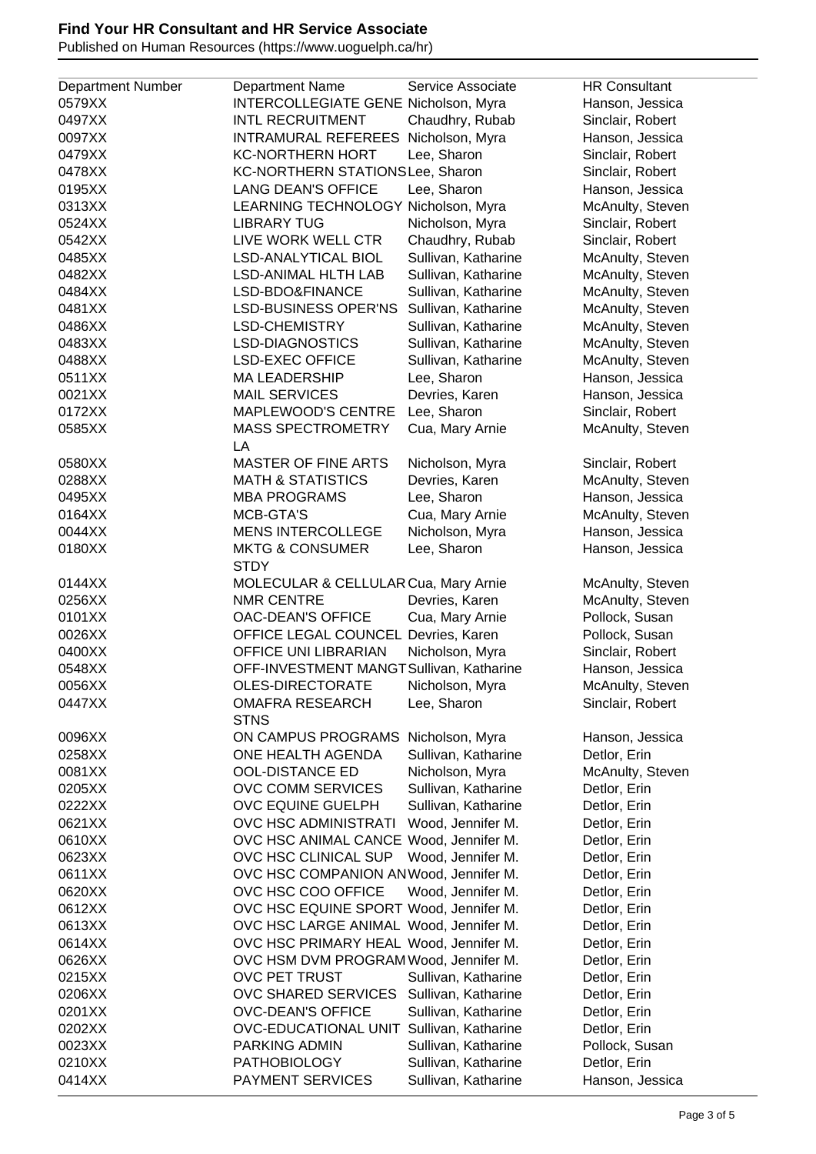Published on Human Resources (https://www.uoguelph.ca/hr)

| <b>Department Number</b> | Department Name                          | Service Associate   | <b>HR Consultant</b> |
|--------------------------|------------------------------------------|---------------------|----------------------|
|                          |                                          |                     |                      |
| 0579XX                   | INTERCOLLEGIATE GENE Nicholson, Myra     |                     | Hanson, Jessica      |
| 0497XX                   | <b>INTL RECRUITMENT</b>                  | Chaudhry, Rubab     | Sinclair, Robert     |
| 0097XX                   | INTRAMURAL REFEREES Nicholson, Myra      |                     | Hanson, Jessica      |
| 0479XX                   | <b>KC-NORTHERN HORT</b>                  | Lee, Sharon         | Sinclair, Robert     |
| 0478XX                   | KC-NORTHERN STATIONSLee, Sharon          |                     | Sinclair, Robert     |
| 0195XX                   | <b>LANG DEAN'S OFFICE</b>                | Lee, Sharon         | Hanson, Jessica      |
| 0313XX                   | LEARNING TECHNOLOGY Nicholson, Myra      |                     | McAnulty, Steven     |
| 0524XX                   | <b>LIBRARY TUG</b>                       | Nicholson, Myra     | Sinclair, Robert     |
| 0542XX                   | LIVE WORK WELL CTR                       | Chaudhry, Rubab     | Sinclair, Robert     |
| 0485XX                   | <b>LSD-ANALYTICAL BIOL</b>               | Sullivan, Katharine | McAnulty, Steven     |
| 0482XX                   | <b>LSD-ANIMAL HLTH LAB</b>               | Sullivan, Katharine | McAnulty, Steven     |
|                          |                                          |                     |                      |
| 0484XX                   | LSD-BDO&FINANCE                          | Sullivan, Katharine | McAnulty, Steven     |
| 0481XX                   | <b>LSD-BUSINESS OPER'NS</b>              | Sullivan, Katharine | McAnulty, Steven     |
| 0486XX                   | <b>LSD-CHEMISTRY</b>                     | Sullivan, Katharine | McAnulty, Steven     |
| 0483XX                   | <b>LSD-DIAGNOSTICS</b>                   | Sullivan, Katharine | McAnulty, Steven     |
| 0488XX                   | <b>LSD-EXEC OFFICE</b>                   | Sullivan, Katharine | McAnulty, Steven     |
| 0511XX                   | <b>MA LEADERSHIP</b>                     | Lee, Sharon         | Hanson, Jessica      |
| 0021XX                   | <b>MAIL SERVICES</b>                     | Devries, Karen      | Hanson, Jessica      |
| 0172XX                   | <b>MAPLEWOOD'S CENTRE</b>                | Lee, Sharon         | Sinclair, Robert     |
| 0585XX                   | <b>MASS SPECTROMETRY</b>                 | Cua, Mary Arnie     | McAnulty, Steven     |
|                          | LA                                       |                     |                      |
| 0580XX                   | <b>MASTER OF FINE ARTS</b>               | Nicholson, Myra     | Sinclair, Robert     |
| 0288XX                   | <b>MATH &amp; STATISTICS</b>             | Devries, Karen      | McAnulty, Steven     |
| 0495XX                   | <b>MBA PROGRAMS</b>                      | Lee, Sharon         | Hanson, Jessica      |
| 0164XX                   | MCB-GTA'S                                | Cua, Mary Arnie     | McAnulty, Steven     |
| 0044XX                   | <b>MENS INTERCOLLEGE</b>                 | Nicholson, Myra     | Hanson, Jessica      |
| 0180XX                   | <b>MKTG &amp; CONSUMER</b>               | Lee, Sharon         | Hanson, Jessica      |
|                          | <b>STDY</b>                              |                     |                      |
| 0144XX                   | MOLECULAR & CELLULAR Cua, Mary Arnie     |                     | McAnulty, Steven     |
| 0256XX                   | <b>NMR CENTRE</b>                        | Devries, Karen      | McAnulty, Steven     |
| 0101XX                   | OAC-DEAN'S OFFICE                        | Cua, Mary Arnie     | Pollock, Susan       |
|                          | OFFICE LEGAL COUNCEL Devries, Karen      |                     |                      |
| 0026XX                   |                                          |                     | Pollock, Susan       |
| 0400XX                   | OFFICE UNI LIBRARIAN                     | Nicholson, Myra     | Sinclair, Robert     |
| 0548XX                   | OFF-INVESTMENT MANGTSullivan, Katharine  |                     | Hanson, Jessica      |
| 0056XX                   | OLES-DIRECTORATE                         | Nicholson, Myra     | McAnulty, Steven     |
| 0447XX                   | <b>OMAFRA RESEARCH</b>                   | Lee, Sharon         | Sinclair, Robert     |
|                          | <b>STNS</b>                              |                     |                      |
| 0096XX                   | ON CAMPUS PROGRAMS                       | Nicholson, Myra     | Hanson, Jessica      |
| 0258XX                   | ONE HEALTH AGENDA                        | Sullivan, Katharine | Detlor, Erin         |
| 0081XX                   | <b>OOL-DISTANCE ED</b>                   | Nicholson, Myra     | McAnulty, Steven     |
| 0205XX                   | OVC COMM SERVICES                        | Sullivan, Katharine | Detlor, Erin         |
| 0222XX                   | OVC EQUINE GUELPH                        | Sullivan, Katharine | Detlor, Erin         |
| 0621XX                   | OVC HSC ADMINISTRATI                     | Wood, Jennifer M.   | Detlor, Erin         |
| 0610XX                   | OVC HSC ANIMAL CANCE Wood, Jennifer M.   |                     | Detlor, Erin         |
| 0623XX                   | OVC HSC CLINICAL SUP                     | Wood, Jennifer M.   | Detlor, Erin         |
| 0611XX                   | OVC HSC COMPANION ANWood, Jennifer M.    |                     | Detlor, Erin         |
| 0620XX                   | OVC HSC COO OFFICE                       | Wood, Jennifer M.   | Detlor, Erin         |
| 0612XX                   | OVC HSC EQUINE SPORT Wood, Jennifer M.   |                     | Detlor, Erin         |
| 0613XX                   | OVC HSC LARGE ANIMAL Wood, Jennifer M.   |                     | Detlor, Erin         |
|                          |                                          |                     |                      |
| 0614XX                   | OVC HSC PRIMARY HEAL Wood, Jennifer M.   |                     | Detlor, Erin         |
| 0626XX                   | OVC HSM DVM PROGRAM Wood, Jennifer M.    |                     | Detlor, Erin         |
| 0215XX                   | OVC PET TRUST                            | Sullivan, Katharine | Detlor, Erin         |
| 0206XX                   | <b>OVC SHARED SERVICES</b>               | Sullivan, Katharine | Detlor, Erin         |
| 0201XX                   | OVC-DEAN'S OFFICE                        | Sullivan, Katharine | Detlor, Erin         |
| 0202XX                   | OVC-EDUCATIONAL UNIT Sullivan, Katharine |                     | Detlor, Erin         |
| 0023XX                   | PARKING ADMIN                            | Sullivan, Katharine | Pollock, Susan       |
| 0210XX                   | <b>PATHOBIOLOGY</b>                      | Sullivan, Katharine | Detlor, Erin         |
| 0414XX                   | <b>PAYMENT SERVICES</b>                  | Sullivan, Katharine | Hanson, Jessica      |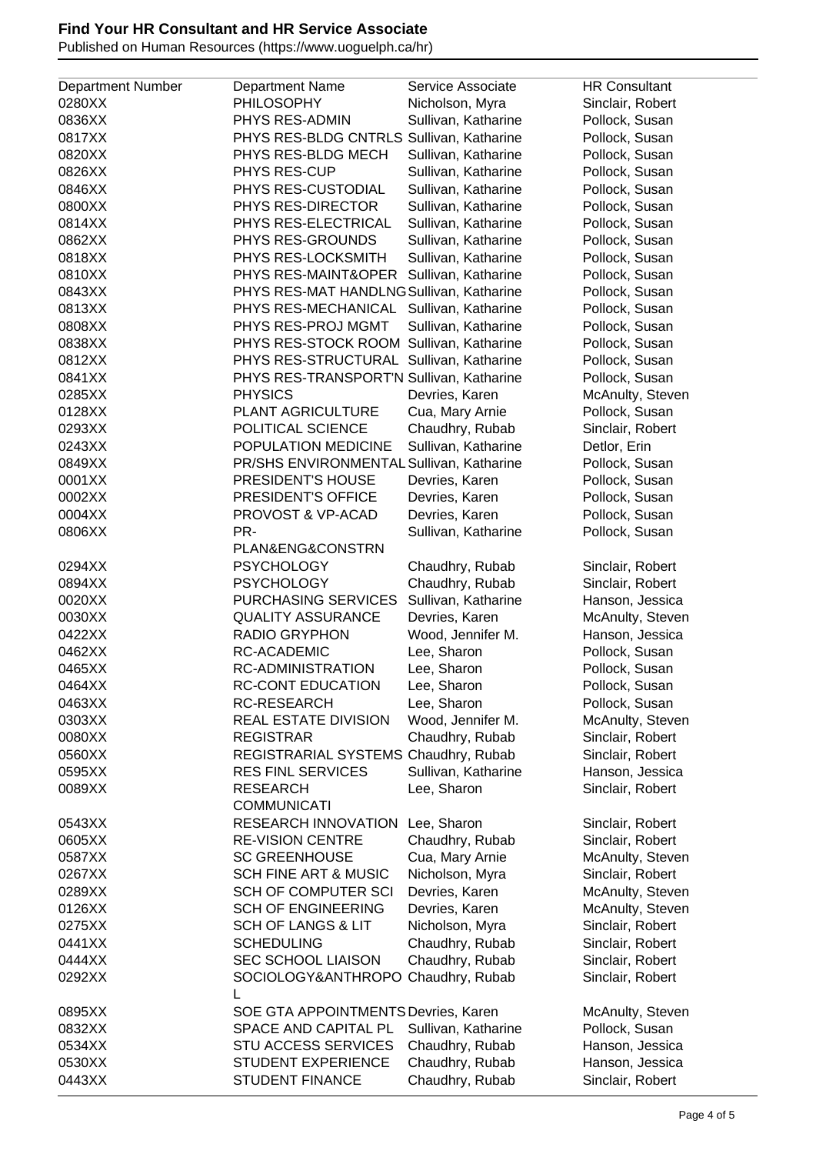Published on Human Resources (https://www.uoguelph.ca/hr)

|                          | <b>Department Name</b>                   | Service Associate   | <b>HR Consultant</b> |
|--------------------------|------------------------------------------|---------------------|----------------------|
| <b>Department Number</b> |                                          |                     |                      |
| 0280XX                   | <b>PHILOSOPHY</b>                        | Nicholson, Myra     | Sinclair, Robert     |
| 0836XX                   | PHYS RES-ADMIN                           | Sullivan, Katharine | Pollock, Susan       |
| 0817XX                   | PHYS RES-BLDG CNTRLS Sullivan, Katharine |                     | Pollock, Susan       |
| 0820XX                   | PHYS RES-BLDG MECH                       | Sullivan, Katharine | Pollock, Susan       |
| 0826XX                   | PHYS RES-CUP                             | Sullivan, Katharine | Pollock, Susan       |
| 0846XX                   | PHYS RES-CUSTODIAL                       | Sullivan, Katharine | Pollock, Susan       |
| 0800XX                   | PHYS RES-DIRECTOR                        | Sullivan, Katharine | Pollock, Susan       |
| 0814XX                   | PHYS RES-ELECTRICAL                      | Sullivan, Katharine | Pollock, Susan       |
| 0862XX                   | PHYS RES-GROUNDS                         | Sullivan, Katharine | Pollock, Susan       |
| 0818XX                   | PHYS RES-LOCKSMITH                       | Sullivan, Katharine | Pollock, Susan       |
| 0810XX                   | PHYS RES-MAINT&OPER                      | Sullivan, Katharine | Pollock, Susan       |
| 0843XX                   | PHYS RES-MAT HANDLNG Sullivan, Katharine |                     | Pollock, Susan       |
| 0813XX                   | PHYS RES-MECHANICAL                      | Sullivan, Katharine | Pollock, Susan       |
| 0808XX                   | PHYS RES-PROJ MGMT                       | Sullivan, Katharine | Pollock, Susan       |
| 0838XX                   | PHYS RES-STOCK ROOM                      | Sullivan, Katharine | Pollock, Susan       |
| 0812XX                   | PHYS RES-STRUCTURAL                      | Sullivan, Katharine | Pollock, Susan       |
| 0841XX                   |                                          |                     |                      |
|                          | PHYS RES-TRANSPORT'N Sullivan, Katharine |                     | Pollock, Susan       |
| 0285XX                   | <b>PHYSICS</b>                           | Devries, Karen      | McAnulty, Steven     |
| 0128XX                   | PLANT AGRICULTURE                        | Cua, Mary Arnie     | Pollock, Susan       |
| 0293XX                   | POLITICAL SCIENCE                        | Chaudhry, Rubab     | Sinclair, Robert     |
| 0243XX                   | POPULATION MEDICINE                      | Sullivan, Katharine | Detlor, Erin         |
| 0849XX                   | PR/SHS ENVIRONMENTAL Sullivan, Katharine |                     | Pollock, Susan       |
| 0001XX                   | PRESIDENT'S HOUSE                        | Devries, Karen      | Pollock, Susan       |
| 0002XX                   | PRESIDENT'S OFFICE                       | Devries, Karen      | Pollock, Susan       |
| 0004XX                   | PROVOST & VP-ACAD                        | Devries, Karen      | Pollock, Susan       |
| 0806XX                   | PR-                                      | Sullivan, Katharine | Pollock, Susan       |
|                          | PLANŊ&CONSTRN                            |                     |                      |
| 0294XX                   | <b>PSYCHOLOGY</b>                        | Chaudhry, Rubab     | Sinclair, Robert     |
| 0894XX                   | <b>PSYCHOLOGY</b>                        | Chaudhry, Rubab     | Sinclair, Robert     |
| 0020XX                   | PURCHASING SERVICES                      | Sullivan, Katharine | Hanson, Jessica      |
| 0030XX                   | <b>QUALITY ASSURANCE</b>                 | Devries, Karen      | McAnulty, Steven     |
| 0422XX                   | <b>RADIO GRYPHON</b>                     | Wood, Jennifer M.   |                      |
|                          |                                          |                     | Hanson, Jessica      |
| 0462XX                   | <b>RC-ACADEMIC</b>                       | Lee, Sharon         | Pollock, Susan       |
| 0465XX                   | <b>RC-ADMINISTRATION</b>                 | Lee, Sharon         | Pollock, Susan       |
| 0464XX                   | <b>RC-CONT EDUCATION</b>                 | Lee, Sharon         | Pollock, Susan       |
| 0463XX                   | <b>RC-RESEARCH</b>                       | Lee, Sharon         | Pollock, Susan       |
| 0303XX                   | REAL ESTATE DIVISION                     | Wood, Jennifer M.   | McAnulty, Steven     |
| 0080XX                   | <b>REGISTRAR</b>                         | Chaudhry, Rubab     | Sinclair, Robert     |
| 0560XX                   | REGISTRARIAL SYSTEMS Chaudhry, Rubab     |                     | Sinclair, Robert     |
| 0595XX                   | <b>RES FINL SERVICES</b>                 | Sullivan, Katharine | Hanson, Jessica      |
| 0089XX                   | <b>RESEARCH</b>                          | Lee, Sharon         | Sinclair, Robert     |
|                          | <b>COMMUNICATI</b>                       |                     |                      |
| 0543XX                   | <b>RESEARCH INNOVATION</b>               | Lee, Sharon         | Sinclair, Robert     |
| 0605XX                   | <b>RE-VISION CENTRE</b>                  | Chaudhry, Rubab     | Sinclair, Robert     |
| 0587XX                   | <b>SC GREENHOUSE</b>                     | Cua, Mary Arnie     | McAnulty, Steven     |
| 0267XX                   | <b>SCH FINE ART &amp; MUSIC</b>          | Nicholson, Myra     | Sinclair, Robert     |
| 0289XX                   | <b>SCH OF COMPUTER SCI</b>               | Devries, Karen      | McAnulty, Steven     |
| 0126XX                   | <b>SCH OF ENGINEERING</b>                | Devries, Karen      | McAnulty, Steven     |
|                          |                                          |                     |                      |
| 0275XX                   | <b>SCH OF LANGS &amp; LIT</b>            | Nicholson, Myra     | Sinclair, Robert     |
| 0441XX                   | <b>SCHEDULING</b>                        | Chaudhry, Rubab     | Sinclair, Robert     |
| 0444XX                   | SEC SCHOOL LIAISON                       | Chaudhry, Rubab     | Sinclair, Robert     |
| 0292XX                   | SOCIOLOGY&ANTHROPO                       | Chaudhry, Rubab     | Sinclair, Robert     |
| 0895XX                   | SOE GTA APPOINTMENTS Devries, Karen      |                     | McAnulty, Steven     |
| 0832XX                   | SPACE AND CAPITAL PL                     | Sullivan, Katharine | Pollock, Susan       |
|                          |                                          |                     |                      |
| 0534XX                   | <b>STU ACCESS SERVICES</b>               | Chaudhry, Rubab     | Hanson, Jessica      |
| 0530XX                   | <b>STUDENT EXPERIENCE</b>                | Chaudhry, Rubab     | Hanson, Jessica      |
| 0443XX                   | <b>STUDENT FINANCE</b>                   | Chaudhry, Rubab     | Sinclair, Robert     |